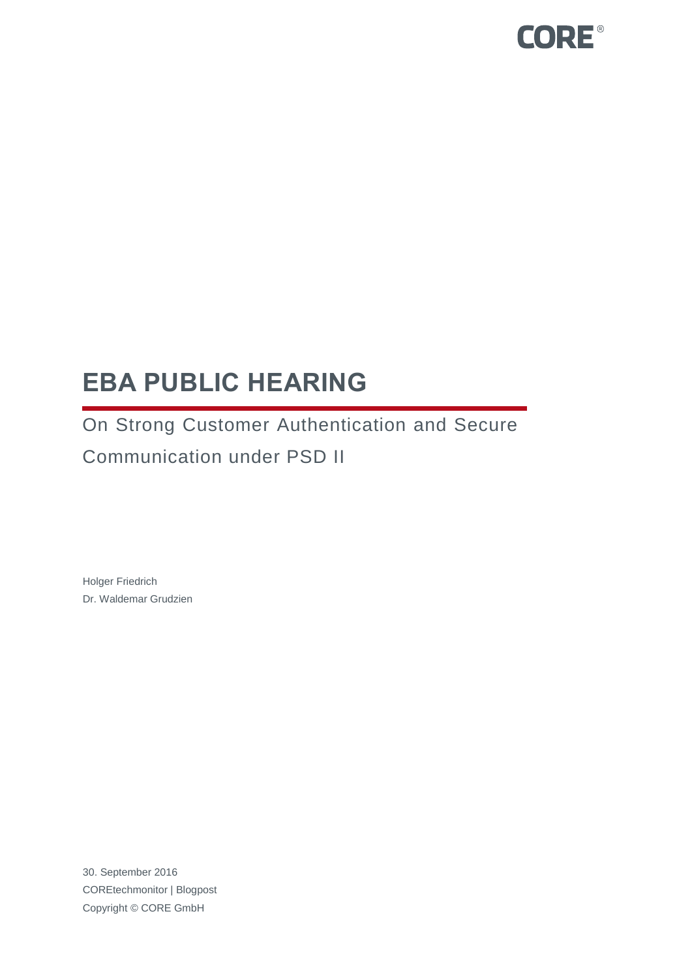

# **EBA PUBLIC HEARING**

On Strong Customer Authentication and Secure Communication under PSD II

Holger Friedrich Dr. Waldemar Grudzien

30. September 2016 COREtechmonitor | Blogpost Copyright © CORE GmbH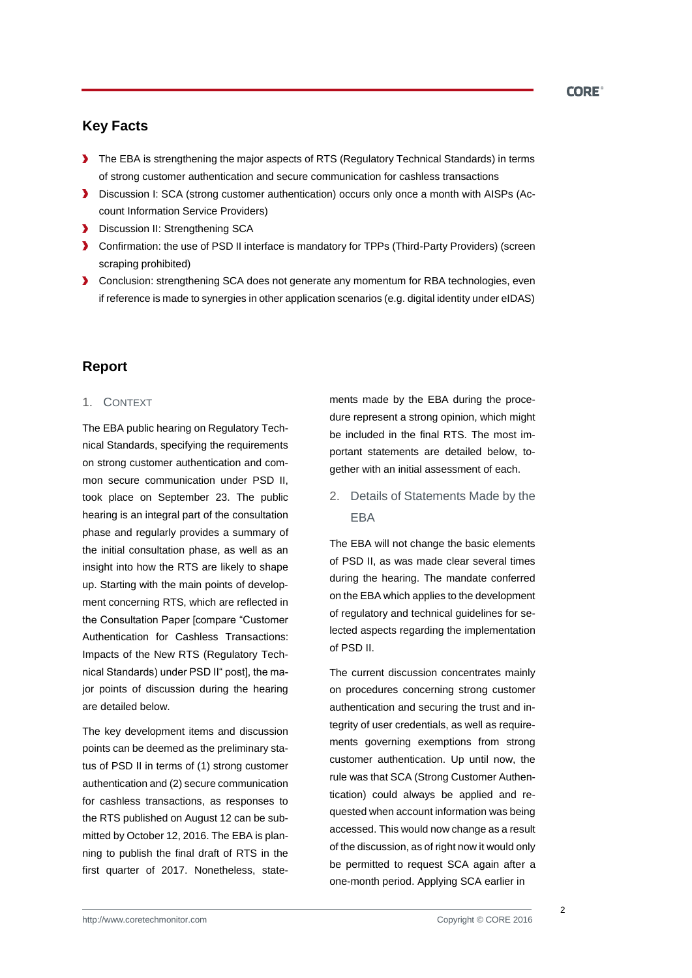# **Key Facts**

- The EBA is strengthening the major aspects of RTS (Regulatory Technical Standards) in terms of strong customer authentication and secure communication for cashless transactions
- Discussion I: SCA (strong customer authentication) occurs only once a month with AISPs (Account Information Service Providers)
- **Discussion II: Strengthening SCA**
- Confirmation: the use of PSD II interface is mandatory for TPPs (Third-Party Providers) (screen scraping prohibited)
- **D** Conclusion: strengthening SCA does not generate any momentum for RBA technologies, even if reference is made to synergies in other application scenarios (e.g. digital identity under eIDAS)

# **Report**

#### 1. CONTEXT

The EBA public hearing on Regulatory Technical Standards, specifying the requirements on strong customer authentication and common secure communication under PSD II, took place on September 23. The public hearing is an integral part of the consultation phase and regularly provides a summary of the initial consultation phase, as well as an insight into how the RTS are likely to shape up. Starting with the main points of development concerning RTS, which are reflected in the Consultation Paper [compare "Customer Authentication for Cashless Transactions: Impacts of the New RTS (Regulatory Technical Standards) under PSD II" post], the major points of discussion during the hearing are detailed below.

The key development items and discussion points can be deemed as the preliminary status of PSD II in terms of (1) strong customer authentication and (2) secure communication for cashless transactions, as responses to the RTS published on August 12 can be submitted by October 12, 2016. The EBA is planning to publish the final draft of RTS in the first quarter of 2017. Nonetheless, statements made by the EBA during the procedure represent a strong opinion, which might be included in the final RTS. The most important statements are detailed below, together with an initial assessment of each.

2. Details of Statements Made by the EBA

The EBA will not change the basic elements of PSD II, as was made clear several times during the hearing. The mandate conferred on the EBA which applies to the development of regulatory and technical guidelines for selected aspects regarding the implementation of PSD II.

The current discussion concentrates mainly on procedures concerning strong customer authentication and securing the trust and integrity of user credentials, as well as requirements governing exemptions from strong customer authentication. Up until now, the rule was that SCA (Strong Customer Authentication) could always be applied and requested when account information was being accessed. This would now change as a result of the discussion, as of right now it would only be permitted to request SCA again after a one-month period. Applying SCA earlier in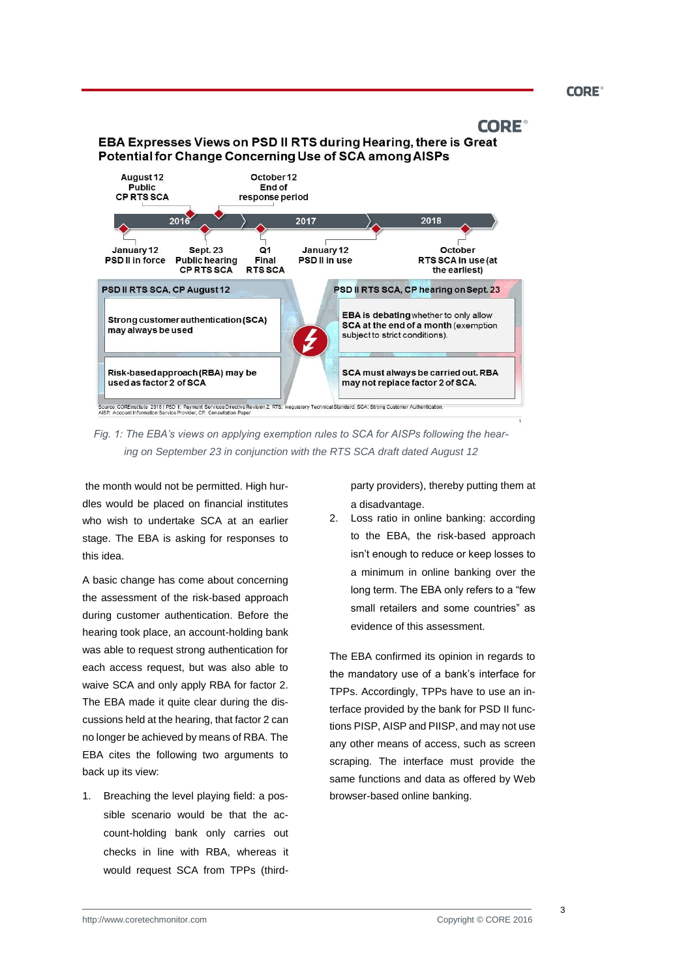**CORE<sup>®</sup>** 

## **CORE**

## EBA Expresses Views on PSD II RTS during Hearing, there is Great Potential for Change Concerning Use of SCA among AISPs



*Fig. 1: The EBA's views on applying exemption rules to SCA for AISPs following the hearing on September 23 in conjunction with the RTS SCA draft dated August 12*

the month would not be permitted. High hurdles would be placed on financial institutes who wish to undertake SCA at an earlier stage. The EBA is asking for responses to this idea.

A basic change has come about concerning the assessment of the risk-based approach during customer authentication. Before the hearing took place, an account-holding bank was able to request strong authentication for each access request, but was also able to waive SCA and only apply RBA for factor 2. The EBA made it quite clear during the discussions held at the hearing, that factor 2 can no longer be achieved by means of RBA. The EBA cites the following two arguments to back up its view:

1. Breaching the level playing field: a possible scenario would be that the account-holding bank only carries out checks in line with RBA, whereas it would request SCA from TPPs (thirdparty providers), thereby putting them at a disadvantage.

2. Loss ratio in online banking: according to the EBA, the risk-based approach isn't enough to reduce or keep losses to a minimum in online banking over the long term. The EBA only refers to a "few small retailers and some countries" as evidence of this assessment.

The EBA confirmed its opinion in regards to the mandatory use of a bank's interface for TPPs. Accordingly, TPPs have to use an interface provided by the bank for PSD II functions PISP, AISP and PIISP, and may not use any other means of access, such as screen scraping. The interface must provide the same functions and data as offered by Web browser-based online banking.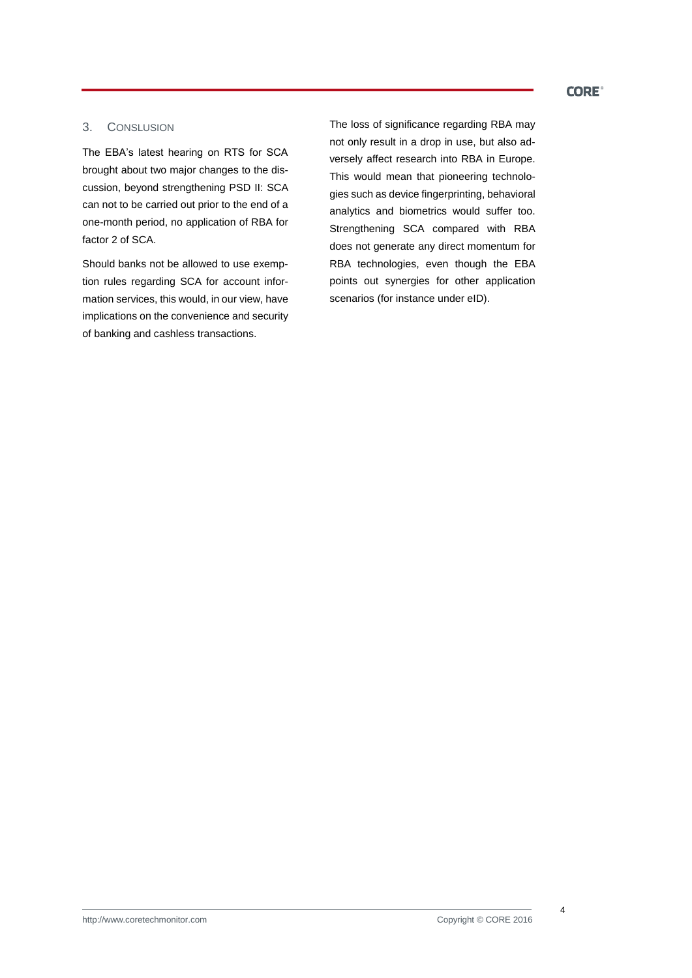## **CORE<sup>®</sup>**

## 3. CONSLUSION

The EBA's latest hearing on RTS for SCA brought about two major changes to the discussion, beyond strengthening PSD II: SCA can not to be carried out prior to the end of a one-month period, no application of RBA for factor 2 of SCA.

Should banks not be allowed to use exemption rules regarding SCA for account information services, this would, in our view, have implications on the convenience and security of banking and cashless transactions.

The loss of significance regarding RBA may not only result in a drop in use, but also adversely affect research into RBA in Europe. This would mean that pioneering technologies such as device fingerprinting, behavioral analytics and biometrics would suffer too. Strengthening SCA compared with RBA does not generate any direct momentum for RBA technologies, even though the EBA points out synergies for other application scenarios (for instance under eID).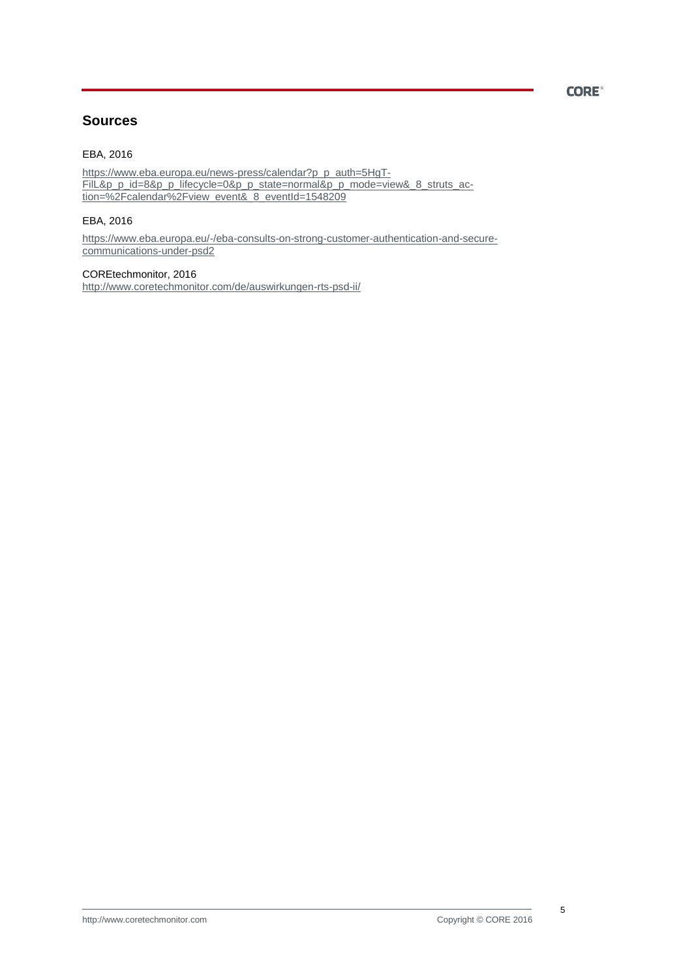## **CORE<sup>®</sup>**

# **Sources**

#### EBA, 2016

[https://www.eba.europa.eu/news-press/calendar?p\\_p\\_auth=5HgT-](https://www.eba.europa.eu/news-press/calendar?p_p_auth=5HgTFilL&p_p_id=8&p_p_lifecycle=0&p_p_state=normal&p_p_mode=view&_8_struts_action=%2Fcalendar%2Fview_event&_8_eventId=1548209)[FilL&p\\_p\\_id=8&p\\_p\\_lifecycle=0&p\\_p\\_state=normal&p\\_p\\_mode=view&\\_8\\_struts\\_ac](https://www.eba.europa.eu/news-press/calendar?p_p_auth=5HgTFilL&p_p_id=8&p_p_lifecycle=0&p_p_state=normal&p_p_mode=view&_8_struts_action=%2Fcalendar%2Fview_event&_8_eventId=1548209)[tion=%2Fcalendar%2Fview\\_event&\\_8\\_eventId=1548209](https://www.eba.europa.eu/news-press/calendar?p_p_auth=5HgTFilL&p_p_id=8&p_p_lifecycle=0&p_p_state=normal&p_p_mode=view&_8_struts_action=%2Fcalendar%2Fview_event&_8_eventId=1548209)

## EBA, 2016

[https://www.eba.europa.eu/-/eba-consults-on-strong-customer-authentication-and-secure](https://www.eba.europa.eu/-/eba-consults-on-strong-customer-authentication-and-secure-communications-under-psd2)[communications-under-psd2](https://www.eba.europa.eu/-/eba-consults-on-strong-customer-authentication-and-secure-communications-under-psd2)

COREtechmonitor, 2016 <http://www.coretechmonitor.com/de/auswirkungen-rts-psd-ii/>